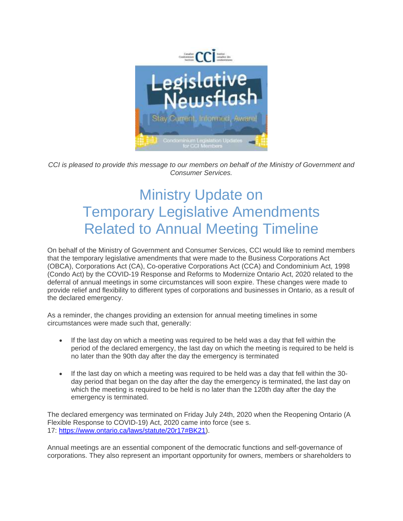

*CCI is pleased to provide this message to our members on behalf of the Ministry of Government and Consumer Services.*

## Ministry Update on Temporary Legislative Amendments Related to Annual Meeting Timeline

On behalf of the Ministry of Government and Consumer Services, CCI would like to remind members that the temporary legislative amendments that were made to the Business Corporations Act (OBCA), Corporations Act (CA), Co-operative Corporations Act (CCA) and Condominium Act, 1998 (Condo Act) by the COVID-19 Response and Reforms to Modernize Ontario Act, 2020 related to the deferral of annual meetings in some circumstances will soon expire. These changes were made to provide relief and flexibility to different types of corporations and businesses in Ontario, as a result of the declared emergency.

As a reminder, the changes providing an extension for annual meeting timelines in some circumstances were made such that, generally:

- If the last day on which a meeting was required to be held was a day that fell within the period of the declared emergency, the last day on which the meeting is required to be held is no later than the 90th day after the day the emergency is terminated
- If the last day on which a meeting was required to be held was a day that fell within the 30day period that began on the day after the day the emergency is terminated, the last day on which the meeting is required to be held is no later than the 120th day after the day the emergency is terminated.

The declared emergency was terminated on Friday July 24th, 2020 when the Reopening Ontario (A Flexible Response to COVID-19) Act, 2020 came into force (see s. 17: [https://www.ontario.ca/laws/statute/20r17#BK21\)](https://www.ontario.ca/laws/statute/20r17#BK21).

Annual meetings are an essential component of the democratic functions and self-governance of corporations. They also represent an important opportunity for owners, members or shareholders to